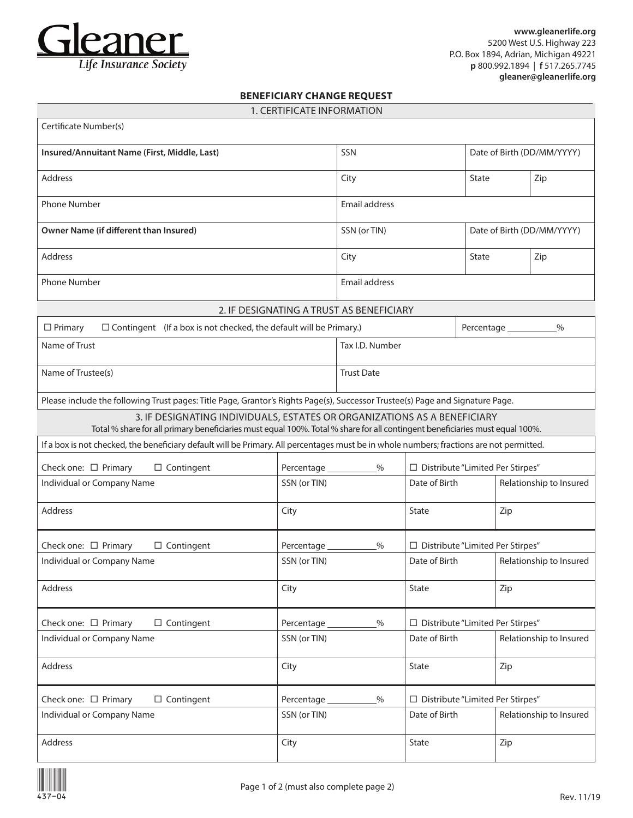

## **BENEFICIARY CHANGE REQUEST**

|  | 1. CERTIFICATE INFORMATION |  |  |  |
|--|----------------------------|--|--|--|
|  |                            |  |  |  |

| Certificate Number(s)                                                                                                                                                                                    |                 |                                          |                                    |       |                         |  |
|----------------------------------------------------------------------------------------------------------------------------------------------------------------------------------------------------------|-----------------|------------------------------------------|------------------------------------|-------|-------------------------|--|
| Insured/Annuitant Name (First, Middle, Last)                                                                                                                                                             | SSN             |                                          | Date of Birth (DD/MM/YYYY)         |       |                         |  |
| <b>Address</b>                                                                                                                                                                                           |                 | City                                     |                                    | State | Zip                     |  |
| <b>Phone Number</b>                                                                                                                                                                                      | Email address   |                                          |                                    |       |                         |  |
| Owner Name (if different than Insured)                                                                                                                                                                   | SSN (or TIN)    |                                          | Date of Birth (DD/MM/YYYY)         |       |                         |  |
| <b>Address</b>                                                                                                                                                                                           |                 | City                                     |                                    | State | Zip                     |  |
| <b>Phone Number</b>                                                                                                                                                                                      | Email address   |                                          |                                    |       |                         |  |
|                                                                                                                                                                                                          |                 | 2. IF DESIGNATING A TRUST AS BENEFICIARY |                                    |       |                         |  |
| $\Box$ Contingent (If a box is not checked, the default will be Primary.)<br>$\Box$ Primary                                                                                                              |                 | $\%$                                     |                                    |       |                         |  |
| Name of Trust                                                                                                                                                                                            |                 | Tax I.D. Number                          |                                    |       |                         |  |
| Name of Trustee(s)                                                                                                                                                                                       |                 | <b>Trust Date</b>                        |                                    |       |                         |  |
| Please include the following Trust pages: Title Page, Grantor's Rights Page(s), Successor Trustee(s) Page and Signature Page.                                                                            |                 |                                          |                                    |       |                         |  |
| 3. IF DESIGNATING INDIVIDUALS, ESTATES OR ORGANIZATIONS AS A BENEFICIARY<br>Total % share for all primary beneficiaries must equal 100%. Total % share for all contingent beneficiaries must equal 100%. |                 |                                          |                                    |       |                         |  |
| If a box is not checked, the beneficiary default will be Primary. All percentages must be in whole numbers; fractions are not permitted.                                                                 |                 |                                          |                                    |       |                         |  |
| Check one: □ Primary<br>$\Box$ Contingent                                                                                                                                                                |                 | %                                        | □ Distribute "Limited Per Stirpes" |       |                         |  |
| Individual or Company Name                                                                                                                                                                               | SSN (or TIN)    |                                          | Date of Birth                      |       | Relationship to Insured |  |
| <b>Address</b>                                                                                                                                                                                           | City            |                                          | State                              | Zip   |                         |  |
| Check one: $\square$ Primary<br>$\Box$ Contingent                                                                                                                                                        | Percentage ____ |                                          | □ Distribute "Limited Per Stirpes" |       |                         |  |
| Individual or Company Name                                                                                                                                                                               | SSN (or TIN)    |                                          | Date of Birth                      |       | Relationship to Insured |  |
| <b>Address</b>                                                                                                                                                                                           | City            |                                          | State                              | Zip   |                         |  |
| Check one: □ Primary<br>$\Box$ Contingent                                                                                                                                                                | Percentage_     | $\%$                                     | □ Distribute "Limited Per Stirpes" |       |                         |  |
| Individual or Company Name                                                                                                                                                                               | SSN (or TIN)    |                                          | Date of Birth                      |       | Relationship to Insured |  |
| Address                                                                                                                                                                                                  | City            |                                          | State                              | Zip   |                         |  |
| Check one: □ Primary<br>$\Box$ Contingent<br>Percentage_                                                                                                                                                 |                 | $\%$                                     | □ Distribute "Limited Per Stirpes" |       |                         |  |
| Individual or Company Name                                                                                                                                                                               | SSN (or TIN)    |                                          | Date of Birth                      |       | Relationship to Insured |  |
| Address                                                                                                                                                                                                  | City            |                                          | State                              | Zip   |                         |  |

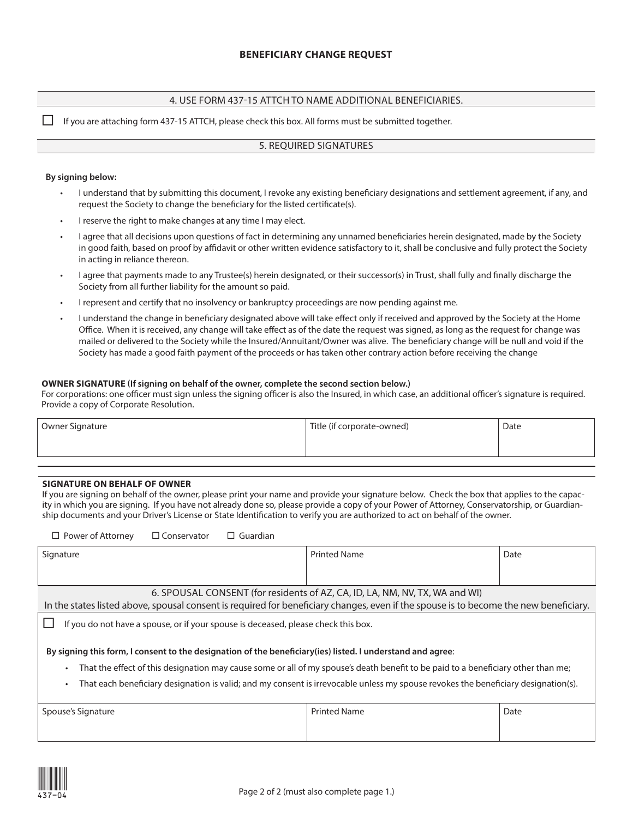## 4. USE FORM 437-15 ATTCH TO NAME ADDITIONAL BENEFICIARIES.

 $\Box$  If you are attaching form 437-15 ATTCH, please check this box. All forms must be submitted together.

### 5. REQUIRED SIGNATURES

#### **By signing below:**

- I understand that by submitting this document, I revoke any existing beneficiary designations and settlement agreement, if any, and request the Society to change the beneficiary for the listed certificate(s).
- I reserve the right to make changes at any time I may elect.
- I agree that all decisions upon questions of fact in determining any unnamed beneficiaries herein designated, made by the Society in good faith, based on proof by affidavit or other written evidence satisfactory to it, shall be conclusive and fully protect the Society in acting in reliance thereon.
- I agree that payments made to any Trustee(s) herein designated, or their successor(s) in Trust, shall fully and finally discharge the Society from all further liability for the amount so paid.
- I represent and certify that no insolvency or bankruptcy proceedings are now pending against me.
- I understand the change in beneficiary designated above will take effect only if received and approved by the Society at the Home Office. When it is received, any change will take effect as of the date the request was signed, as long as the request for change was mailed or delivered to the Society while the Insured/Annuitant/Owner was alive. The beneficiary change will be null and void if the Society has made a good faith payment of the proceeds or has taken other contrary action before receiving the change

#### **OWNER SIGNATURE (If signing on behalf of the owner, complete the second section below.)**

For corporations: one officer must sign unless the signing officer is also the Insured, in which case, an additional officer's signature is required. Provide a copy of Corporate Resolution.

| Owner Signature | Title (if corporate-owned) | Date |
|-----------------|----------------------------|------|
|                 |                            |      |
|                 |                            |      |

#### **SIGNATURE ON BEHALF OF OWNER**

If you are signing on behalf of the owner, please print your name and provide your signature below. Check the box that applies to the capacity in which you are signing. If you have not already done so, please provide a copy of your Power of Attorney, Conservatorship, or Guardianship documents and your Driver's License or State Identification to verify you are authorized to act on behalf of the owner.

| $\Box$ Power of Attorney<br>$\Box$ Conservator<br>$\Box$ Guardian                                                                       |                     |      |  |  |  |
|-----------------------------------------------------------------------------------------------------------------------------------------|---------------------|------|--|--|--|
| Signature                                                                                                                               | <b>Printed Name</b> | Date |  |  |  |
|                                                                                                                                         |                     |      |  |  |  |
|                                                                                                                                         |                     |      |  |  |  |
| 6. SPOUSAL CONSENT (for residents of AZ, CA, ID, LA, NM, NV, TX, WA and WI)                                                             |                     |      |  |  |  |
| In the states listed above, spousal consent is required for beneficiary changes, even if the spouse is to become the new beneficiary.   |                     |      |  |  |  |
| If you do not have a spouse, or if your spouse is deceased, please check this box.                                                      |                     |      |  |  |  |
| By signing this form, I consent to the designation of the beneficiary (ies) listed. I understand and agree:                             |                     |      |  |  |  |
| That the effect of this designation may cause some or all of my spouse's death benefit to be paid to a beneficiary other than me;<br>٠  |                     |      |  |  |  |
| That each beneficiary designation is valid; and my consent is irrevocable unless my spouse revokes the beneficiary designation(s).<br>٠ |                     |      |  |  |  |
| Spouse's Signature                                                                                                                      | <b>Printed Name</b> | Date |  |  |  |
|                                                                                                                                         |                     |      |  |  |  |
|                                                                                                                                         |                     |      |  |  |  |

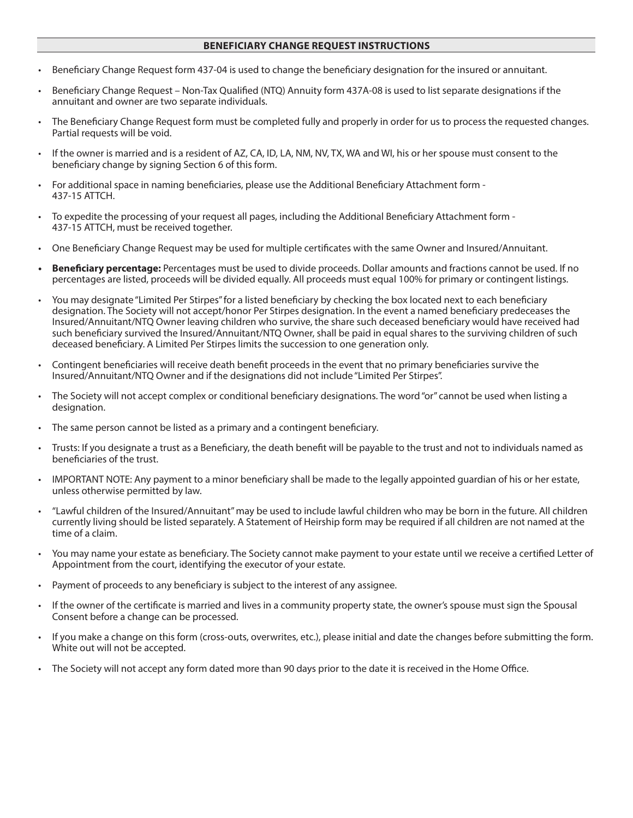## **BENEFICIARY CHANGE REQUEST INSTRUCTIONS**

- Beneficiary Change Request form 437-04 is used to change the beneficiary designation for the insured or annuitant.
- Beneficiary Change Request Non-Tax Qualified (NTQ) Annuity form 437A-08 is used to list separate designations if the annuitant and owner are two separate individuals.
- The Beneficiary Change Request form must be completed fully and properly in order for us to process the requested changes. Partial requests will be void.
- If the owner is married and is a resident of AZ, CA, ID, LA, NM, NV, TX, WA and WI, his or her spouse must consent to the beneficiary change by signing Section 6 of this form.
- For additional space in naming beneficiaries, please use the Additional Beneficiary Attachment form 437-15 ATTCH.
- To expedite the processing of your request all pages, including the Additional Beneficiary Attachment form 437-15 ATTCH, must be received together.
- One Beneficiary Change Request may be used for multiple certificates with the same Owner and Insured/Annuitant.
- **• Beneficiary percentage:** Percentages must be used to divide proceeds. Dollar amounts and fractions cannot be used. If no percentages are listed, proceeds will be divided equally. All proceeds must equal 100% for primary or contingent listings.
- You may designate "Limited Per Stirpes" for a listed beneficiary by checking the box located next to each beneficiary designation. The Society will not accept/honor Per Stirpes designation. In the event a named beneficiary predeceases the Insured/Annuitant/NTQ Owner leaving children who survive, the share such deceased beneficiary would have received had such beneficiary survived the Insured/Annuitant/NTQ Owner, shall be paid in equal shares to the surviving children of such deceased beneficiary. A Limited Per Stirpes limits the succession to one generation only.
- Contingent beneficiaries will receive death benefit proceeds in the event that no primary beneficiaries survive the Insured/Annuitant/NTQ Owner and if the designations did not include "Limited Per Stirpes".
- The Society will not accept complex or conditional beneficiary designations. The word "or" cannot be used when listing a designation.
- The same person cannot be listed as a primary and a contingent beneficiary.
- Trusts: If you designate a trust as a Beneficiary, the death benefit will be payable to the trust and not to individuals named as beneficiaries of the trust.
- IMPORTANT NOTE: Any payment to a minor beneficiary shall be made to the legally appointed guardian of his or her estate, unless otherwise permitted by law.
- "Lawful children of the Insured/Annuitant" may be used to include lawful children who may be born in the future. All children currently living should be listed separately. A Statement of Heirship form may be required if all children are not named at the time of a claim.
- You may name your estate as beneficiary. The Society cannot make payment to your estate until we receive a certified Letter of Appointment from the court, identifying the executor of your estate.
- Payment of proceeds to any beneficiary is subject to the interest of any assignee.
- If the owner of the certificate is married and lives in a community property state, the owner's spouse must sign the Spousal Consent before a change can be processed.
- If you make a change on this form (cross-outs, overwrites, etc.), please initial and date the changes before submitting the form. White out will not be accepted.
- The Society will not accept any form dated more than 90 days prior to the date it is received in the Home Office.